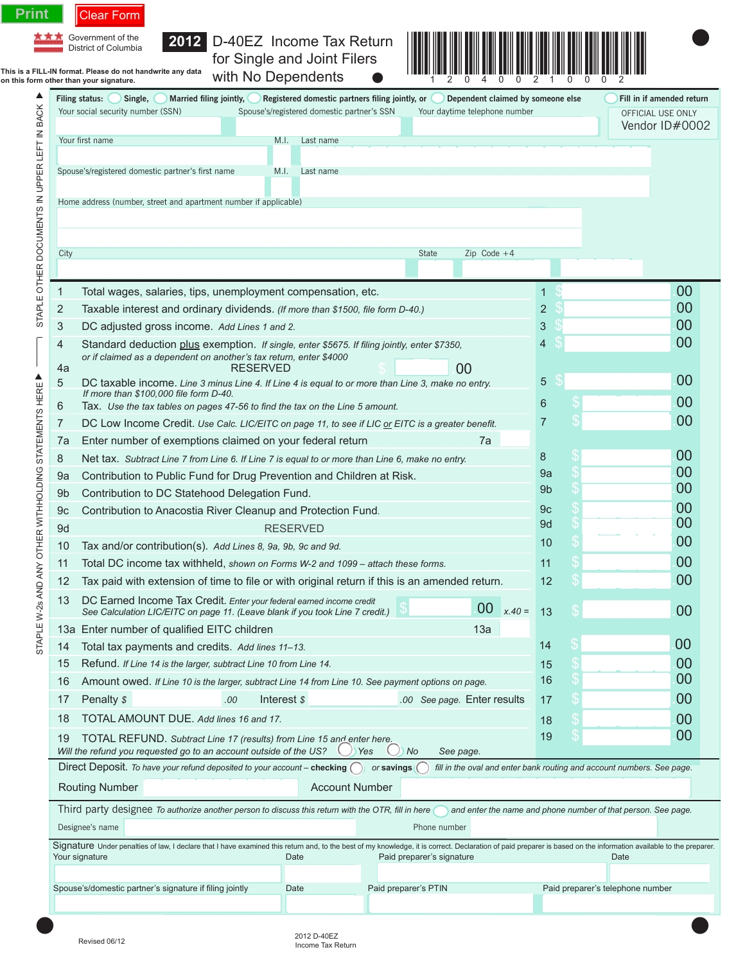|                                                       | Filing status:<br>Single,<br>Married filing jointly,                                                                                                                                                                                                                | Registered domestic partners filing jointly, or                                                                                                                     |                               | Dependent claimed by someone else | Fill in if amended return           |  |  |  |
|-------------------------------------------------------|---------------------------------------------------------------------------------------------------------------------------------------------------------------------------------------------------------------------------------------------------------------------|---------------------------------------------------------------------------------------------------------------------------------------------------------------------|-------------------------------|-----------------------------------|-------------------------------------|--|--|--|
|                                                       | Your social security number (SSN)                                                                                                                                                                                                                                   | Spouse's/registered domestic partner's SSN                                                                                                                          | Your daytime telephone number |                                   | OFFICIAL USE ONLY<br>Vendor ID#0002 |  |  |  |
|                                                       | Your first name                                                                                                                                                                                                                                                     | Last name<br>M.I.                                                                                                                                                   |                               |                                   |                                     |  |  |  |
|                                                       |                                                                                                                                                                                                                                                                     |                                                                                                                                                                     |                               |                                   |                                     |  |  |  |
|                                                       | Spouse's/registered domestic partner's first name<br>M.I.<br>Last name                                                                                                                                                                                              |                                                                                                                                                                     |                               |                                   |                                     |  |  |  |
|                                                       | Home address (number, street and apartment number if applicable)                                                                                                                                                                                                    |                                                                                                                                                                     |                               |                                   |                                     |  |  |  |
| STAPLE OTHER DOCUMENTS IN UPPER LEFT IN BACK          |                                                                                                                                                                                                                                                                     |                                                                                                                                                                     |                               |                                   |                                     |  |  |  |
|                                                       |                                                                                                                                                                                                                                                                     |                                                                                                                                                                     |                               |                                   |                                     |  |  |  |
|                                                       | City                                                                                                                                                                                                                                                                |                                                                                                                                                                     | State<br>$Zip Code +4$        |                                   |                                     |  |  |  |
|                                                       |                                                                                                                                                                                                                                                                     |                                                                                                                                                                     |                               |                                   |                                     |  |  |  |
|                                                       | Total wages, salaries, tips, unemployment compensation, etc.<br>$\mathbf{1}$                                                                                                                                                                                        |                                                                                                                                                                     |                               | $\mathbf{1}$                      | 00                                  |  |  |  |
|                                                       | 2<br>Taxable interest and ordinary dividends. (If more than \$1500, file form D-40.)                                                                                                                                                                                |                                                                                                                                                                     |                               | 2<br>3                            | 00<br>00                            |  |  |  |
|                                                       | 3<br>DC adjusted gross income. Add Lines 1 and 2.<br>Standard deduction plus exemption. If single, enter \$5675. If filing jointly, enter \$7350,                                                                                                                   |                                                                                                                                                                     |                               |                                   | 00                                  |  |  |  |
|                                                       | 4<br>or if claimed as a dependent on another's tax return, enter \$4000                                                                                                                                                                                             |                                                                                                                                                                     |                               | 4                                 |                                     |  |  |  |
| ▲                                                     | 4a                                                                                                                                                                                                                                                                  | RESERVED                                                                                                                                                            | 00                            |                                   | 00                                  |  |  |  |
|                                                       | 5<br>DC taxable income. Line 3 minus Line 4. If Line 4 is equal to or more than Line 3, make no entry.<br>If more than \$100,000 file form D-40.                                                                                                                    |                                                                                                                                                                     |                               | 5                                 |                                     |  |  |  |
|                                                       | 6<br>Tax. Use the tax tables on pages 47-56 to find the tax on the Line 5 amount.                                                                                                                                                                                   |                                                                                                                                                                     |                               | 6<br>7                            | 00<br>00                            |  |  |  |
|                                                       | 7                                                                                                                                                                                                                                                                   | DC Low Income Credit. Use Calc. LIC/EITC on page 11, to see if LIC or EITC is a greater benefit.<br>7a                                                              |                               |                                   |                                     |  |  |  |
|                                                       | Enter number of exemptions claimed on your federal return<br>7a                                                                                                                                                                                                     |                                                                                                                                                                     | 00                            |                                   |                                     |  |  |  |
|                                                       | 8<br>Net tax. Subtract Line 7 from Line 6. If Line 7 is equal to or more than Line 6, make no entry.                                                                                                                                                                | 8<br>9a                                                                                                                                                             | 00                            |                                   |                                     |  |  |  |
|                                                       | Contribution to Public Fund for Drug Prevention and Children at Risk.<br>9a                                                                                                                                                                                         | 9 <sub>b</sub>                                                                                                                                                      | 00                            |                                   |                                     |  |  |  |
|                                                       | Contribution to DC Statehood Delegation Fund.<br>9 <sub>b</sub><br>Contribution to Anacostia River Cleanup and Protection Fund<br>9c                                                                                                                                |                                                                                                                                                                     |                               |                                   | 00                                  |  |  |  |
|                                                       | <b>RESERVED</b><br>9d                                                                                                                                                                                                                                               |                                                                                                                                                                     |                               |                                   | 00                                  |  |  |  |
|                                                       | Tax and/or contribution(s). Add Lines 8, 9a, 9b, 9c and 9d.<br>10                                                                                                                                                                                                   | 10                                                                                                                                                                  | 00                            |                                   |                                     |  |  |  |
|                                                       | Total DC income tax withheld, shown on Forms W-2 and 1099 - attach these forms.<br>11                                                                                                                                                                               | 11                                                                                                                                                                  | 00                            |                                   |                                     |  |  |  |
|                                                       | 12<br>Tax paid with extension of time to file or with original return if this is an amended return.                                                                                                                                                                 | 12                                                                                                                                                                  | 00                            |                                   |                                     |  |  |  |
| STAPLE W-2s AND ANY OTHER WITHHOLDING STATEMENTS HERE | 13<br>DC Earned Income Tax Credit. Enter your federal earned income credit<br>See Calculation LIC/EITC on page 11. (Leave blank if you took Line 7 credit.)                                                                                                         | $x.40 =$<br>13                                                                                                                                                      | 00                            |                                   |                                     |  |  |  |
|                                                       | 13a Enter number of qualified EITC children<br>13a                                                                                                                                                                                                                  |                                                                                                                                                                     |                               |                                   |                                     |  |  |  |
|                                                       | Total tax payments and credits. Add lines 11-13.<br>14                                                                                                                                                                                                              |                                                                                                                                                                     |                               |                                   | 00                                  |  |  |  |
|                                                       | 15<br>Refund. If Line 14 is the larger, subtract Line 10 from Line 14.                                                                                                                                                                                              |                                                                                                                                                                     |                               |                                   | 00                                  |  |  |  |
|                                                       | 16<br>Amount owed. If Line 10 is the larger, subtract Line 14 from Line 10. See payment options on page.                                                                                                                                                            |                                                                                                                                                                     |                               | 16                                | 00                                  |  |  |  |
|                                                       | 17<br>Penalty \$<br>.00                                                                                                                                                                                                                                             | Interest \$                                                                                                                                                         | .00 See page. Enter results   | 17                                | 00<br>00                            |  |  |  |
|                                                       | 18                                                                                                                                                                                                                                                                  | TOTAL AMOUNT DUE. Add lines 16 and 17.                                                                                                                              |                               |                                   |                                     |  |  |  |
|                                                       | 19                                                                                                                                                                                                                                                                  | TOTAL REFUND. Subtract Line 17 (results) from Line 15 and enter here.                                                                                               |                               |                                   |                                     |  |  |  |
|                                                       | Will the refund you requested go to an account outside of the US?<br>Yes<br>No<br>See page.<br>Direct Deposit. To have your refund deposited to your account - checking (<br>fill in the oval and enter bank routing and account numbers. See page.<br>or savings ( |                                                                                                                                                                     |                               |                                   |                                     |  |  |  |
|                                                       | <b>Routing Number</b>                                                                                                                                                                                                                                               | <b>Account Number</b>                                                                                                                                               |                               |                                   |                                     |  |  |  |
|                                                       |                                                                                                                                                                                                                                                                     |                                                                                                                                                                     |                               |                                   |                                     |  |  |  |
|                                                       |                                                                                                                                                                                                                                                                     | Third party designee To authorize another person to discuss this return with the OTR, fill in here<br>and enter the name and phone number of that person. See page. |                               |                                   |                                     |  |  |  |
|                                                       | Designee's name<br>Phone number<br>Signature Under penalties of law, I declare that I have examined this return and, to the best of my knowledge, it is correct. Declaration of paid preparer is based on the information available to the preparer.                |                                                                                                                                                                     |                               |                                   |                                     |  |  |  |
|                                                       | Your signature                                                                                                                                                                                                                                                      |                                                                                                                                                                     | Date                          |                                   |                                     |  |  |  |
|                                                       |                                                                                                                                                                                                                                                                     |                                                                                                                                                                     |                               |                                   |                                     |  |  |  |
|                                                       | Spouse's/domestic partner's signature if filing jointly                                                                                                                                                                                                             | Date                                                                                                                                                                | Paid preparer's PTIN          |                                   | Paid preparer's telephone number    |  |  |  |